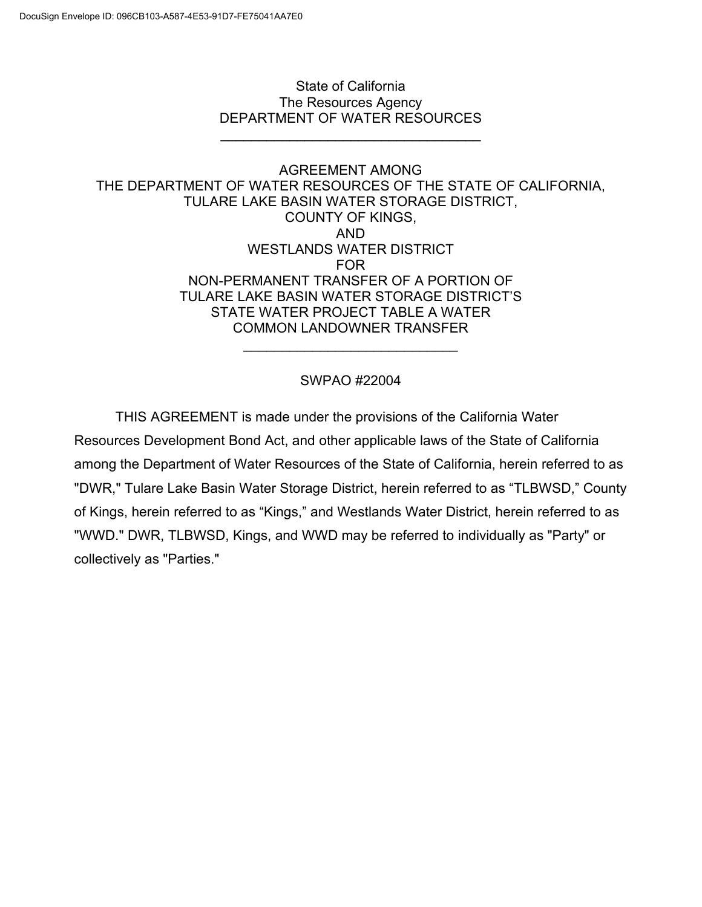## State of California The Resources Agency DEPARTMENT OF WATER RESOURCES

\_\_\_\_\_\_\_\_\_\_\_\_\_\_\_\_\_\_\_\_\_\_\_\_\_\_\_\_\_\_\_\_\_\_

#### AGREEMENT AMONG THE DEPARTMENT OF WATER RESOURCES OF THE STATE OF CALIFORNIA, TULARE LAKE BASIN WATER STORAGE DISTRICT, COUNTY OF KINGS, AND WESTLANDS WATER DISTRICT FOR NON-PERMANENT TRANSFER OF A PORTION OF TULARE LAKE BASIN WATER STORAGE DISTRICT'S STATE WATER PROJECT TABLE A WATER COMMON LANDOWNER TRANSFER \_\_\_\_\_\_\_\_\_\_\_\_\_\_\_\_\_\_\_\_\_\_\_\_\_\_\_\_

# SWPAO #22004

THIS AGREEMENT is made under the provisions of the California Water Resources Development Bond Act, and other applicable laws of the State of California among the Department of Water Resources of the State of California, herein referred to as "DWR," Tulare Lake Basin Water Storage District, herein referred to as "TLBWSD," County of Kings, herein referred to as "Kings," and Westlands Water District, herein referred to as "WWD." DWR, TLBWSD, Kings, and WWD may be referred to individually as "Party" or collectively as "Parties."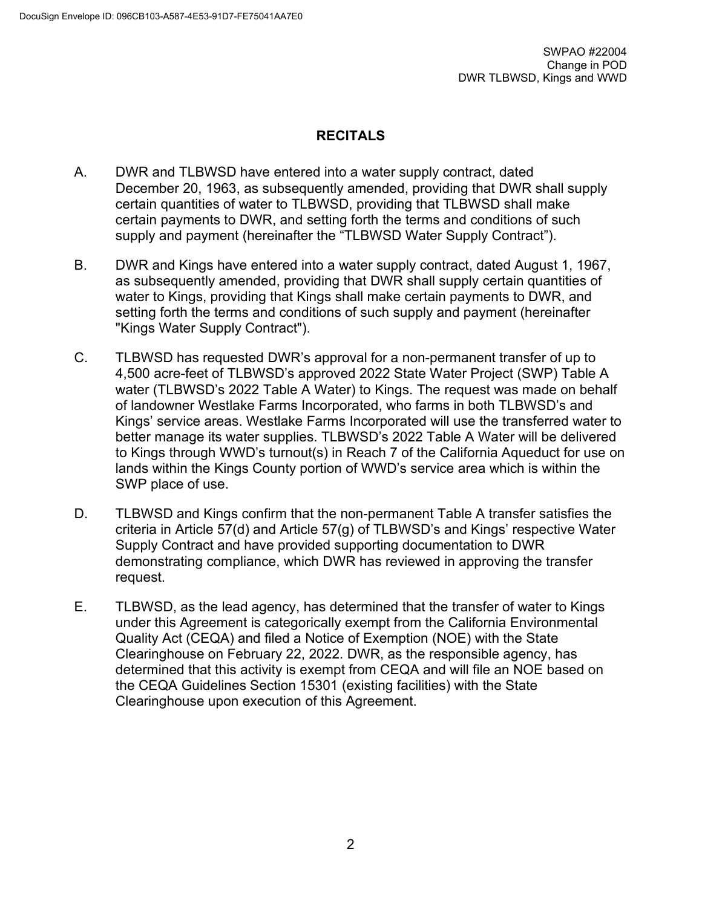# **RECITALS**

- A. DWR and TLBWSD have entered into a water supply contract, dated December 20, 1963, as subsequently amended, providing that DWR shall supply certain quantities of water to TLBWSD, providing that TLBWSD shall make certain payments to DWR, and setting forth the terms and conditions of such supply and payment (hereinafter the "TLBWSD Water Supply Contract").
- B. DWR and Kings have entered into a water supply contract, dated August 1, 1967, as subsequently amended, providing that DWR shall supply certain quantities of water to Kings, providing that Kings shall make certain payments to DWR, and setting forth the terms and conditions of such supply and payment (hereinafter "Kings Water Supply Contract").
- C. TLBWSD has requested DWR's approval for a non-permanent transfer of up to 4,500 acre-feet of TLBWSD's approved 2022 State Water Project (SWP) Table A water (TLBWSD's 2022 Table A Water) to Kings. The request was made on behalf of landowner Westlake Farms Incorporated, who farms in both TLBWSD's and Kings' service areas. Westlake Farms Incorporated will use the transferred water to better manage its water supplies. TLBWSD's 2022 Table A Water will be delivered to Kings through WWD's turnout(s) in Reach 7 of the California Aqueduct for use on lands within the Kings County portion of WWD's service area which is within the SWP place of use.
- D. TLBWSD and Kings confirm that the non-permanent Table A transfer satisfies the criteria in Article 57(d) and Article 57(g) of TLBWSD's and Kings' respective Water Supply Contract and have provided supporting documentation to DWR demonstrating compliance, which DWR has reviewed in approving the transfer request.
- E. TLBWSD, as the lead agency, has determined that the transfer of water to Kings under this Agreement is categorically exempt from the California Environmental Quality Act (CEQA) and filed a Notice of Exemption (NOE) with the State Clearinghouse on February 22, 2022. DWR, as the responsible agency, has determined that this activity is exempt from CEQA and will file an NOE based on the CEQA Guidelines Section 15301 (existing facilities) with the State Clearinghouse upon execution of this Agreement.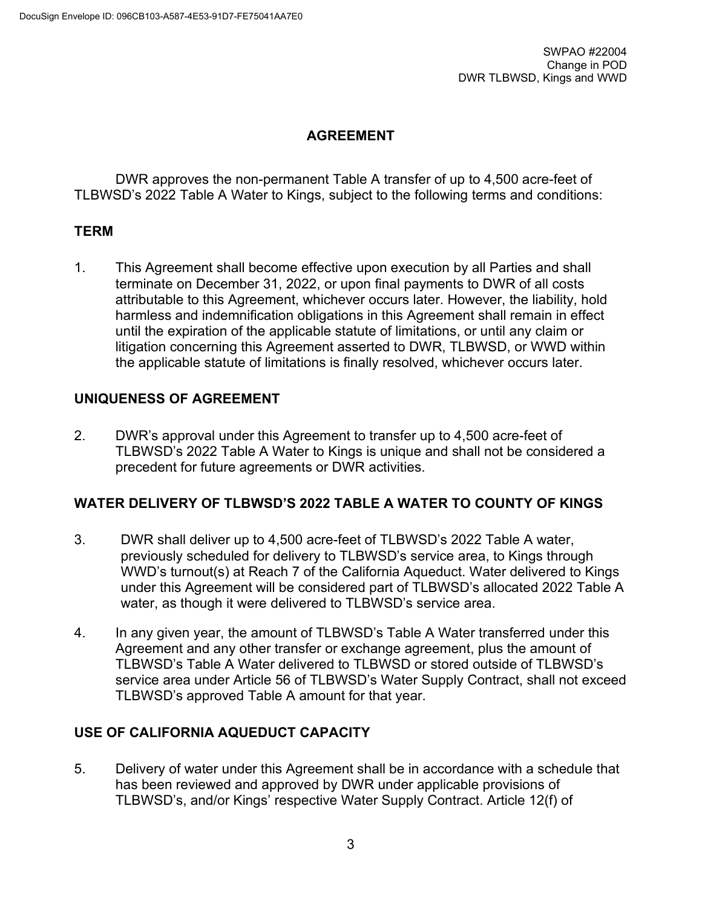# **AGREEMENT**

DWR approves the non-permanent Table A transfer of up to 4,500 acre-feet of TLBWSD's 2022 Table A Water to Kings, subject to the following terms and conditions:

## **TERM**

1. This Agreement shall become effective upon execution by all Parties and shall terminate on December 31, 2022, or upon final payments to DWR of all costs attributable to this Agreement, whichever occurs later. However, the liability, hold harmless and indemnification obligations in this Agreement shall remain in effect until the expiration of the applicable statute of limitations, or until any claim or litigation concerning this Agreement asserted to DWR, TLBWSD, or WWD within the applicable statute of limitations is finally resolved, whichever occurs later.

## **UNIQUENESS OF AGREEMENT**

2. DWR's approval under this Agreement to transfer up to 4,500 acre-feet of TLBWSD's 2022 Table A Water to Kings is unique and shall not be considered a precedent for future agreements or DWR activities.

#### **WATER DELIVERY OF TLBWSD'S 2022 TABLE A WATER TO COUNTY OF KINGS**

- 3. DWR shall deliver up to 4,500 acre-feet of TLBWSD's 2022 Table A water, previously scheduled for delivery to TLBWSD's service area, to Kings through WWD's turnout(s) at Reach 7 of the California Aqueduct. Water delivered to Kings under this Agreement will be considered part of TLBWSD's allocated 2022 Table A water, as though it were delivered to TLBWSD's service area.
- 4. In any given year, the amount of TLBWSD's Table A Water transferred under this Agreement and any other transfer or exchange agreement, plus the amount of TLBWSD's Table A Water delivered to TLBWSD or stored outside of TLBWSD's service area under Article 56 of TLBWSD's Water Supply Contract, shall not exceed TLBWSD's approved Table A amount for that year.

# **USE OF CALIFORNIA AQUEDUCT CAPACITY**

5. Delivery of water under this Agreement shall be in accordance with a schedule that has been reviewed and approved by DWR under applicable provisions of TLBWSD's, and/or Kings' respective Water Supply Contract. Article 12(f) of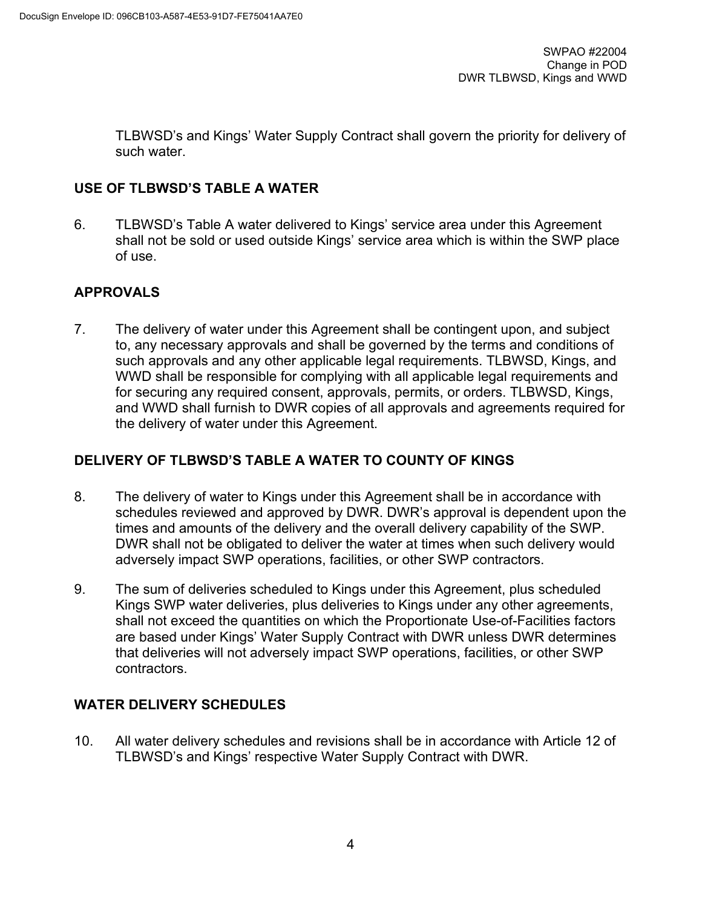TLBWSD's and Kings' Water Supply Contract shall govern the priority for delivery of such water.

## **USE OF TLBWSD'S TABLE A WATER**

6. TLBWSD's Table A water delivered to Kings' service area under this Agreement shall not be sold or used outside Kings' service area which is within the SWP place of use.

# **APPROVALS**

7. The delivery of water under this Agreement shall be contingent upon, and subject to, any necessary approvals and shall be governed by the terms and conditions of such approvals and any other applicable legal requirements. TLBWSD, Kings, and WWD shall be responsible for complying with all applicable legal requirements and for securing any required consent, approvals, permits, or orders. TLBWSD, Kings, and WWD shall furnish to DWR copies of all approvals and agreements required for the delivery of water under this Agreement.

# **DELIVERY OF TLBWSD'S TABLE A WATER TO COUNTY OF KINGS**

- 8. The delivery of water to Kings under this Agreement shall be in accordance with schedules reviewed and approved by DWR. DWR's approval is dependent upon the times and amounts of the delivery and the overall delivery capability of the SWP. DWR shall not be obligated to deliver the water at times when such delivery would adversely impact SWP operations, facilities, or other SWP contractors.
- 9. The sum of deliveries scheduled to Kings under this Agreement, plus scheduled Kings SWP water deliveries, plus deliveries to Kings under any other agreements, shall not exceed the quantities on which the Proportionate Use-of-Facilities factors are based under Kings' Water Supply Contract with DWR unless DWR determines that deliveries will not adversely impact SWP operations, facilities, or other SWP contractors.

# **WATER DELIVERY SCHEDULES**

10. All water delivery schedules and revisions shall be in accordance with Article 12 of TLBWSD's and Kings' respective Water Supply Contract with DWR.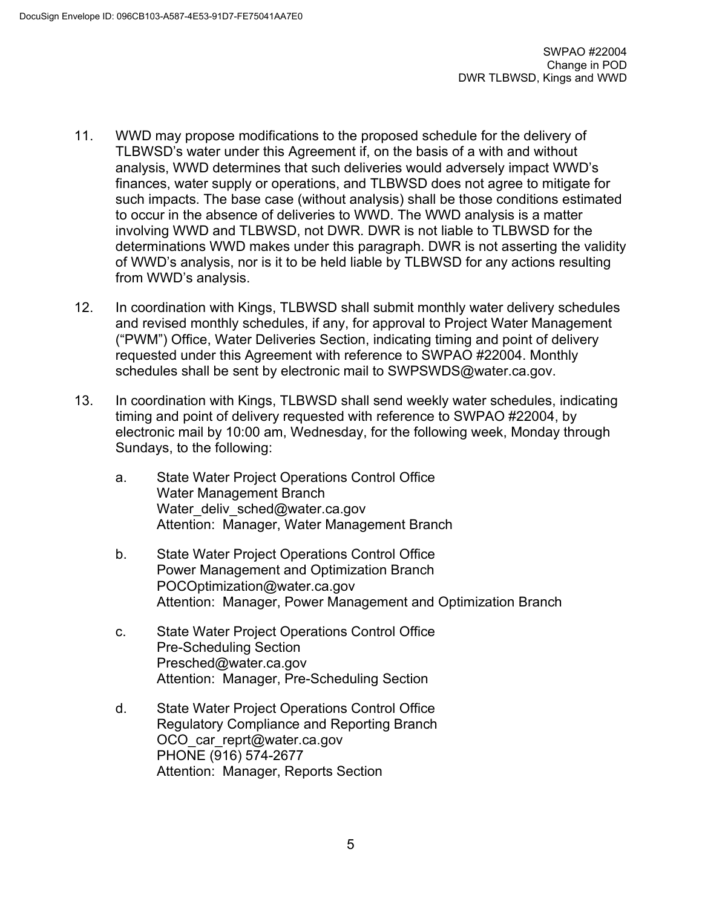- 11. WWD may propose modifications to the proposed schedule for the delivery of TLBWSD's water under this Agreement if, on the basis of a with and without analysis, WWD determines that such deliveries would adversely impact WWD's finances, water supply or operations, and TLBWSD does not agree to mitigate for such impacts. The base case (without analysis) shall be those conditions estimated to occur in the absence of deliveries to WWD. The WWD analysis is a matter involving WWD and TLBWSD, not DWR. DWR is not liable to TLBWSD for the determinations WWD makes under this paragraph. DWR is not asserting the validity of WWD's analysis, nor is it to be held liable by TLBWSD for any actions resulting from WWD's analysis.
- 12. In coordination with Kings, TLBWSD shall submit monthly water delivery schedules and revised monthly schedules, if any, for approval to Project Water Management ("PWM") Office, Water Deliveries Section, indicating timing and point of delivery requested under this Agreement with reference to SWPAO #22004. Monthly schedules shall be sent by electronic mail to SWPSWDS@water.ca.gov.
- 13. In coordination with Kings, TLBWSD shall send weekly water schedules, indicating timing and point of delivery requested with reference to SWPAO #22004, by electronic mail by 10:00 am, Wednesday, for the following week, Monday through Sundays, to the following:
	- a. State Water Project Operations Control Office Water Management Branch [Water\\_deliv\\_sched@water.ca.gov](mailto:Water_deliv_sched@water.ca.gov) Attention: Manager, Water Management Branch
	- b. State Water Project Operations Control Office Power Management and Optimization Branch [POCOptimization@water.ca.gov](mailto:POCOptimization@water.ca.gov) Attention: Manager, Power Management and Optimization Branch
	- c. State Water Project Operations Control Office Pre-Scheduling Section [Presched@water.ca.gov](mailto:Presched@water.ca.gov) Attention: Manager, Pre-Scheduling Section
	- d. State Water Project Operations Control Office Regulatory Compliance and Reporting Branch OCO car reprt@water.ca.gov PHONE (916) 574-2677 Attention: Manager, Reports Section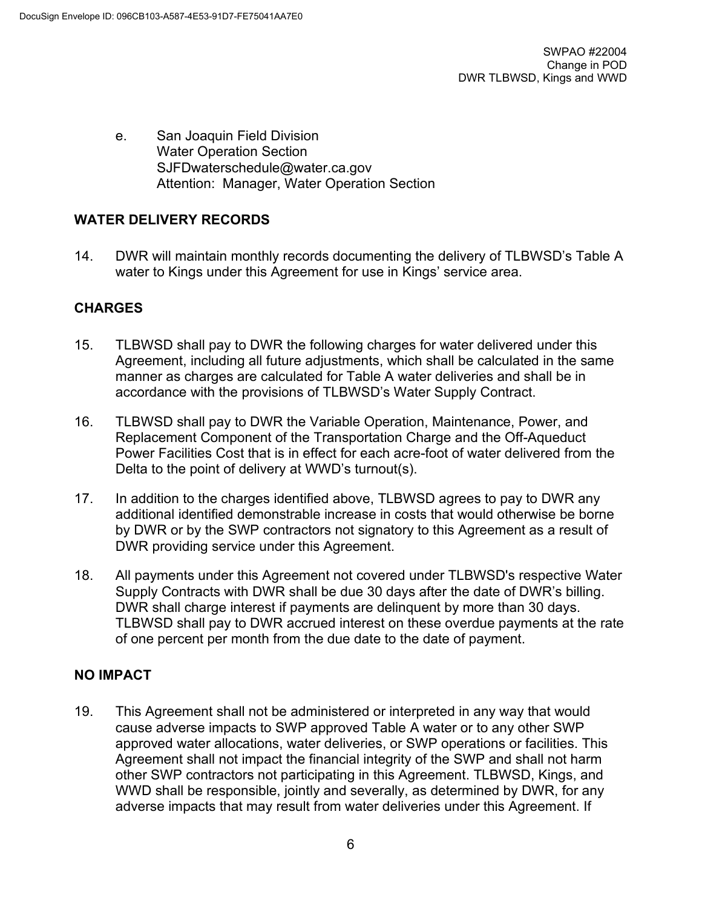e. San Joaquin Field Division Water Operation Section SJFDwaterschedule@water.ca.gov Attention: Manager, Water Operation Section

## **WATER DELIVERY RECORDS**

14. DWR will maintain monthly records documenting the delivery of TLBWSD's Table A water to Kings under this Agreement for use in Kings' service area.

## **CHARGES**

- 15. TLBWSD shall pay to DWR the following charges for water delivered under this Agreement, including all future adjustments, which shall be calculated in the same manner as charges are calculated for Table A water deliveries and shall be in accordance with the provisions of TLBWSD's Water Supply Contract.
- 16. TLBWSD shall pay to DWR the Variable Operation, Maintenance, Power, and Replacement Component of the Transportation Charge and the Off-Aqueduct Power Facilities Cost that is in effect for each acre-foot of water delivered from the Delta to the point of delivery at WWD's turnout(s).
- 17. In addition to the charges identified above, TLBWSD agrees to pay to DWR any additional identified demonstrable increase in costs that would otherwise be borne by DWR or by the SWP contractors not signatory to this Agreement as a result of DWR providing service under this Agreement.
- 18. All payments under this Agreement not covered under TLBWSD's respective Water Supply Contracts with DWR shall be due 30 days after the date of DWR's billing. DWR shall charge interest if payments are delinquent by more than 30 days. TLBWSD shall pay to DWR accrued interest on these overdue payments at the rate of one percent per month from the due date to the date of payment.

#### **NO IMPACT**

19. This Agreement shall not be administered or interpreted in any way that would cause adverse impacts to SWP approved Table A water or to any other SWP approved water allocations, water deliveries, or SWP operations or facilities. This Agreement shall not impact the financial integrity of the SWP and shall not harm other SWP contractors not participating in this Agreement. TLBWSD, Kings, and WWD shall be responsible, jointly and severally, as determined by DWR, for any adverse impacts that may result from water deliveries under this Agreement. If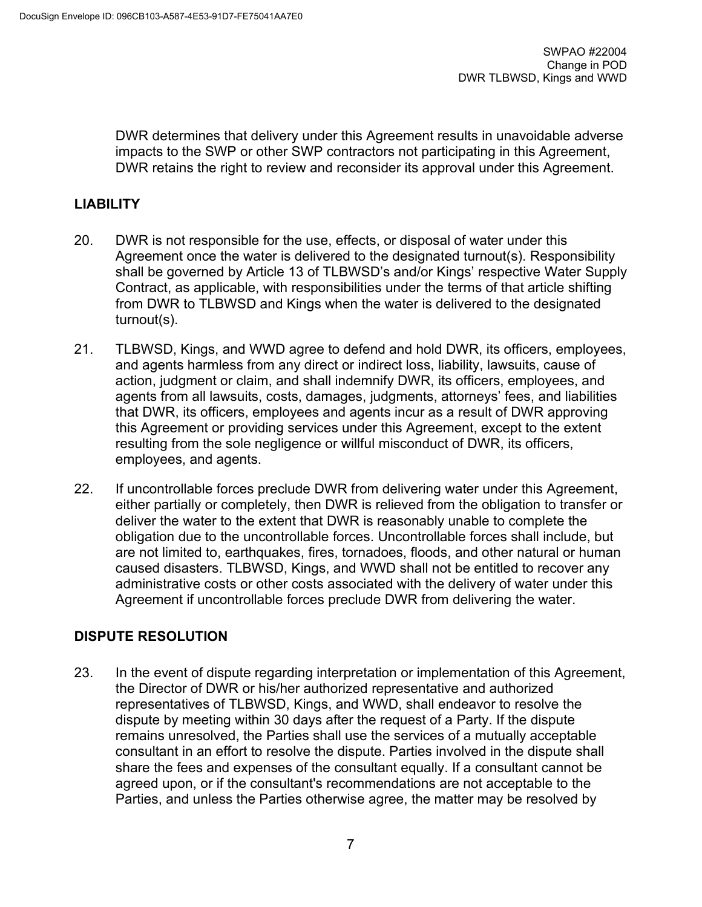DWR determines that delivery under this Agreement results in unavoidable adverse impacts to the SWP or other SWP contractors not participating in this Agreement, DWR retains the right to review and reconsider its approval under this Agreement.

# **LIABILITY**

- 20. DWR is not responsible for the use, effects, or disposal of water under this Agreement once the water is delivered to the designated turnout(s). Responsibility shall be governed by Article 13 of TLBWSD's and/or Kings' respective Water Supply Contract, as applicable, with responsibilities under the terms of that article shifting from DWR to TLBWSD and Kings when the water is delivered to the designated turnout(s).
- 21. TLBWSD, Kings, and WWD agree to defend and hold DWR, its officers, employees, and agents harmless from any direct or indirect loss, liability, lawsuits, cause of action, judgment or claim, and shall indemnify DWR, its officers, employees, and agents from all lawsuits, costs, damages, judgments, attorneys' fees, and liabilities that DWR, its officers, employees and agents incur as a result of DWR approving this Agreement or providing services under this Agreement, except to the extent resulting from the sole negligence or willful misconduct of DWR, its officers, employees, and agents.
- 22. If uncontrollable forces preclude DWR from delivering water under this Agreement, either partially or completely, then DWR is relieved from the obligation to transfer or deliver the water to the extent that DWR is reasonably unable to complete the obligation due to the uncontrollable forces. Uncontrollable forces shall include, but are not limited to, earthquakes, fires, tornadoes, floods, and other natural or human caused disasters. TLBWSD, Kings, and WWD shall not be entitled to recover any administrative costs or other costs associated with the delivery of water under this Agreement if uncontrollable forces preclude DWR from delivering the water.

# **DISPUTE RESOLUTION**

23. In the event of dispute regarding interpretation or implementation of this Agreement, the Director of DWR or his/her authorized representative and authorized representatives of TLBWSD, Kings, and WWD, shall endeavor to resolve the dispute by meeting within 30 days after the request of a Party. If the dispute remains unresolved, the Parties shall use the services of a mutually acceptable consultant in an effort to resolve the dispute. Parties involved in the dispute shall share the fees and expenses of the consultant equally. If a consultant cannot be agreed upon, or if the consultant's recommendations are not acceptable to the Parties, and unless the Parties otherwise agree, the matter may be resolved by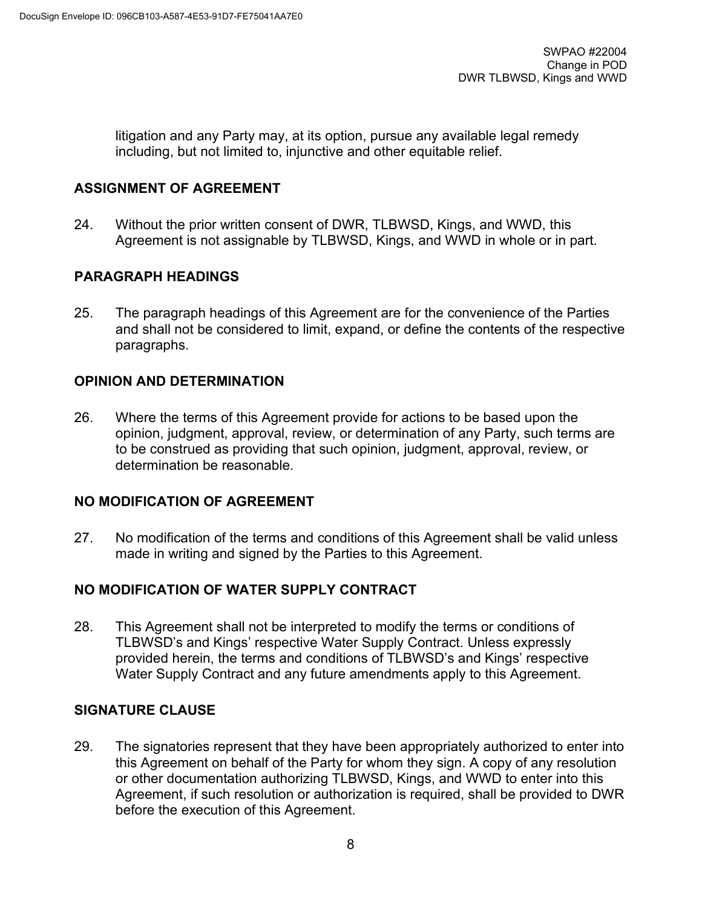litigation and any Party may, at its option, pursue any available legal remedy including, but not limited to, injunctive and other equitable relief.

## **ASSIGNMENT OF AGREEMENT**

24. Without the prior written consent of DWR, TLBWSD, Kings, and WWD, this Agreement is not assignable by TLBWSD, Kings, and WWD in whole or in part.

# **PARAGRAPH HEADINGS**

25. The paragraph headings of this Agreement are for the convenience of the Parties and shall not be considered to limit, expand, or define the contents of the respective paragraphs.

#### **OPINION AND DETERMINATION**

26. Where the terms of this Agreement provide for actions to be based upon the opinion, judgment, approval, review, or determination of any Party, such terms are to be construed as providing that such opinion, judgment, approval, review, or determination be reasonable.

#### **NO MODIFICATION OF AGREEMENT**

27. No modification of the terms and conditions of this Agreement shall be valid unless made in writing and signed by the Parties to this Agreement.

# **NO MODIFICATION OF WATER SUPPLY CONTRACT**

28. This Agreement shall not be interpreted to modify the terms or conditions of TLBWSD's and Kings' respective Water Supply Contract. Unless expressly provided herein, the terms and conditions of TLBWSD's and Kings' respective Water Supply Contract and any future amendments apply to this Agreement.

#### **SIGNATURE CLAUSE**

29. The signatories represent that they have been appropriately authorized to enter into this Agreement on behalf of the Party for whom they sign. A copy of any resolution or other documentation authorizing TLBWSD, Kings, and WWD to enter into this Agreement, if such resolution or authorization is required, shall be provided to DWR before the execution of this Agreement.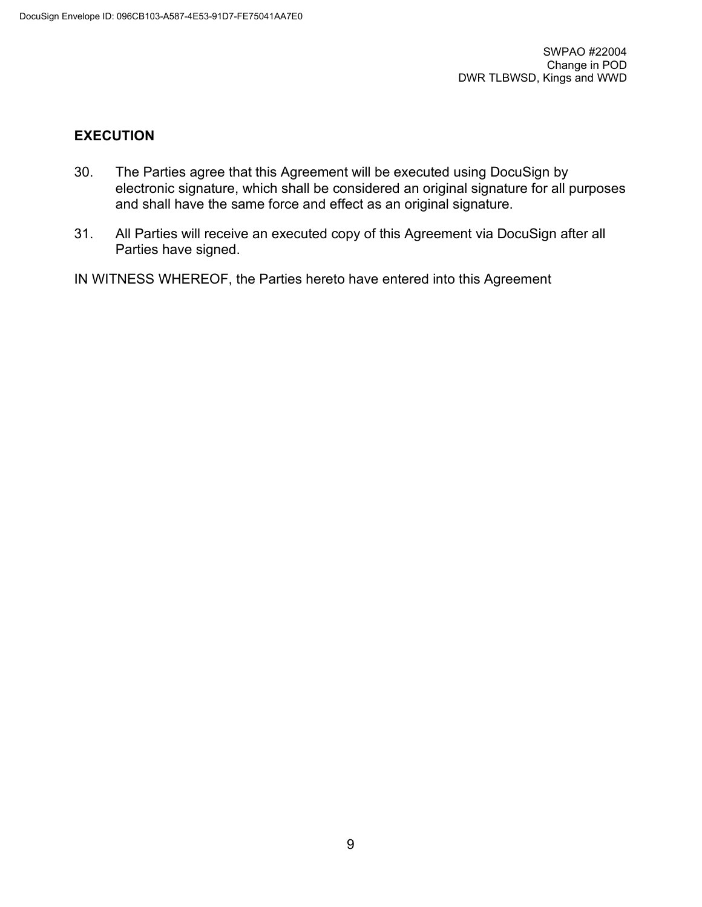#### **EXECUTION**

- 30. The Parties agree that this Agreement will be executed using DocuSign by electronic signature, which shall be considered an original signature for all purposes and shall have the same force and effect as an original signature.
- 31. All Parties will receive an executed copy of this Agreement via DocuSign after all Parties have signed.

IN WITNESS WHEREOF, the Parties hereto have entered into this Agreement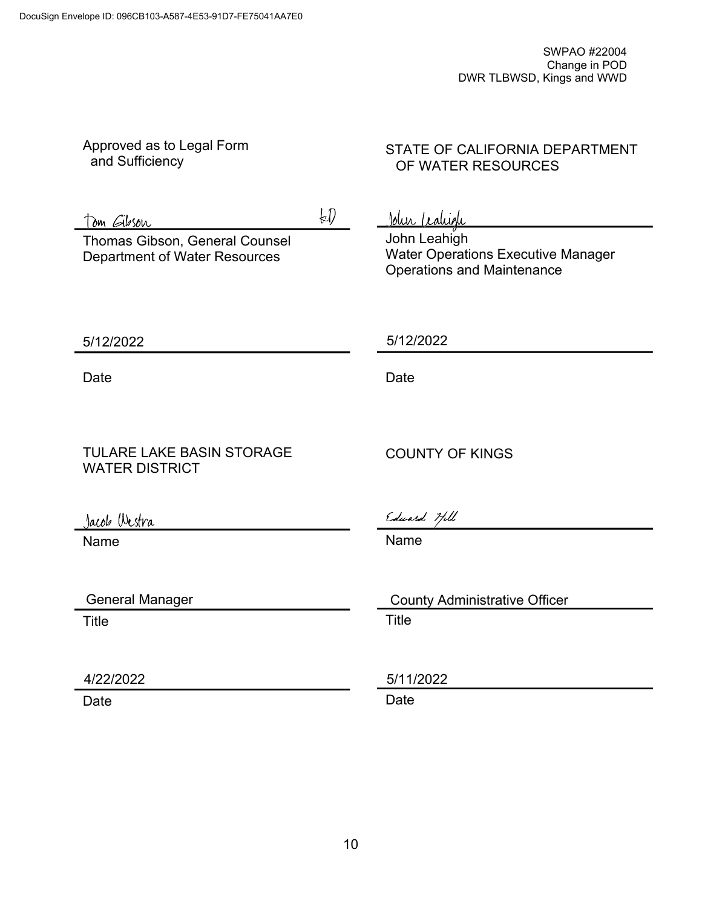| Approved as to Legal Form<br>and Sufficiency                           | STATE OF CALIFORNIA DEPARTMENT<br>OF WATER RESOURCES                                           |
|------------------------------------------------------------------------|------------------------------------------------------------------------------------------------|
|                                                                        |                                                                                                |
| $\natural$<br>Tom <i>G</i> ibson                                       | <u>John (cahigh</u>                                                                            |
| Thomas Gibson, General Counsel<br><b>Department of Water Resources</b> | John Leahigh<br><b>Water Operations Executive Manager</b><br><b>Operations and Maintenance</b> |
| 5/12/2022                                                              | 5/12/2022                                                                                      |
| Date                                                                   | Date                                                                                           |
| <b>TULARE LAKE BASIN STORAGE</b><br><b>WATER DISTRICT</b>              | <b>COUNTY OF KINGS</b>                                                                         |
| Jacob Westra                                                           | Edward Hill                                                                                    |
| Name                                                                   | Name                                                                                           |
| <b>General Manager</b>                                                 | <b>County Administrative Officer</b>                                                           |
| <b>Title</b>                                                           | <b>Title</b>                                                                                   |
|                                                                        |                                                                                                |
| 4/22/2022                                                              | 5/11/2022                                                                                      |
| Date                                                                   | Date                                                                                           |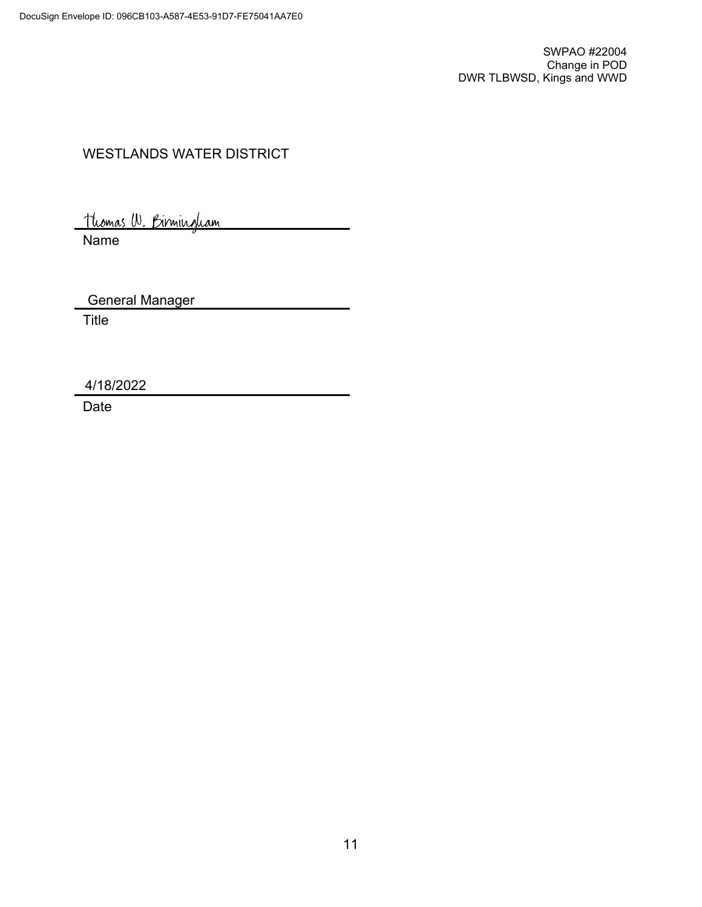# WESTLANDS WATER DISTRICT

<u> Thomas W. Birmingham</u>

Name

General Manager

Title

4/18/2022

Date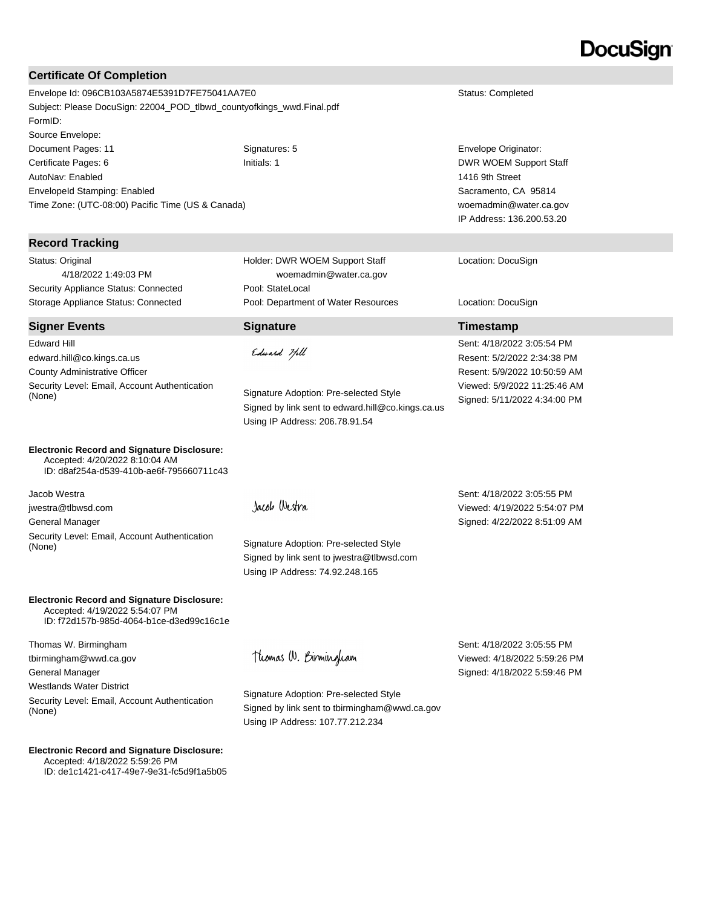#### **Certificate Of Completion**

Envelope Id: 096CB103A5874E5391D7FE75041AA7E0 Status: Completed Subject: Please DocuSign: 22004\_POD\_tlbwd\_countyofkings\_wwd.Final.pdf FormID: Source Envelope: Document Pages: 11 **Signatures: 5** Signatures: 5 Envelope Originator: Certificate Pages: 6 Initials: 1 DWR WOEM Support Staff AutoNav: Enabled EnvelopeId Stamping: Enabled Time Zone: (UTC-08:00) Pacific Time (US & Canada)

#### **Record Tracking**

Status: Original 4/18/2022 1:49:03 PM Security Appliance Status: Connected Pool: StateLocal

#### **Signer Events Signature Timestamp**

Edward Hill edward.hill@co.kings.ca.us County Administrative Officer Security Level: Email, Account Authentication<br>(None)

**Electronic Record and Signature Disclosure:**  Accepted: 4/20/2022 8:10:04 AM ID: d8af254a-d539-410b-ae6f-795660711c43

Jacob Westra jwestra@tlbwsd.com General Manager Security Level: Email, Account Authentication<br>(None)

**Electronic Record and Signature Disclosure:**  Accepted: 4/19/2022 5:54:07 PM ID: f72d157b-985d-4064-b1ce-d3ed99c16c1e

Thomas W. Birmingham tbirmingham@wwd.ca.gov General Manager Westlands Water District

Security Level: Email, Account Authentication (None)

#### **Electronic Record and Signature Disclosure:**

 Accepted: 4/18/2022 5:59:26 PM ID: de1c1421-c417-49e7-9e31-fc5d9f1a5b05

Holder: DWR WOEM Support Staff woemadmin@water.ca.gov Storage Appliance Status: Connected Pool: Department of Water Resources Location: DocuSign

Edward Hill

Signature Adoption: Pre-selected Style Signed by link sent to edward.hill@co.kings.ca.us Using IP Address: 206.78.91.54

Jacob Westra

Signature Adoption: Pre-selected Style Signed by link sent to jwestra@tlbwsd.com Using IP Address: 74.92.248.165

Sent: 4/18/2022 3:05:55 PM Viewed: 4/19/2022 5:54:07 PM Signed: 4/22/2022 8:51:09 AM

Sent: 4/18/2022 3:05:55 PM Viewed: 4/18/2022 5:59:26 PM Signed: 4/18/2022 5:59:46 PM

1416 9th Street Sacramento, CA 95814 woemadmin@water.ca.gov IP Address: 136.200.53.20

Location: DocuSign

#### Sent: 4/18/2022 3:05:54 PM Resent: 5/2/2022 2:34:38 PM Resent: 5/9/2022 10:50:59 AM Viewed: 5/9/2022 11:25:46 AM Signed: 5/11/2022 4:34:00 PM

Thomas W. Birmingham

Signature Adoption: Pre-selected Style Signed by link sent to tbirmingham@wwd.ca.gov Using IP Address: 107.77.212.234

DocuSian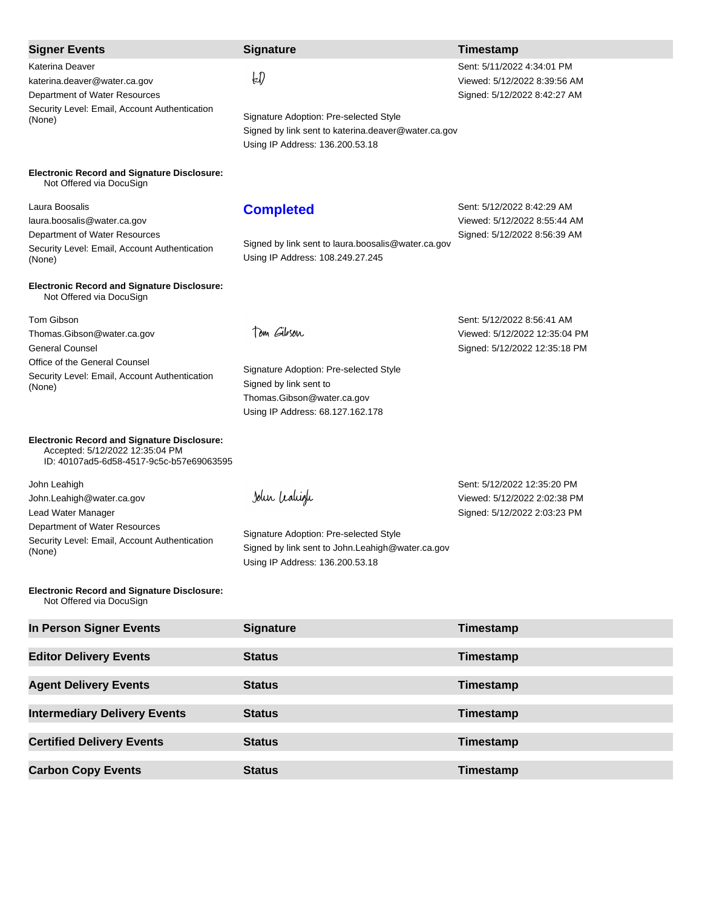| <b>Signer Events</b>                                                           | <b>Signature</b>                                     | Timestamp                     |
|--------------------------------------------------------------------------------|------------------------------------------------------|-------------------------------|
|                                                                                |                                                      |                               |
| Katerina Deaver                                                                | $\natural$                                           | Sent: 5/11/2022 4:34:01 PM    |
| katerina.deaver@water.ca.gov                                                   |                                                      | Viewed: 5/12/2022 8:39:56 AM  |
| Department of Water Resources<br>Security Level: Email, Account Authentication |                                                      | Signed: 5/12/2022 8:42:27 AM  |
| (None)                                                                         | Signature Adoption: Pre-selected Style               |                               |
|                                                                                | Signed by link sent to katerina.deaver@water.ca.gov  |                               |
|                                                                                | Using IP Address: 136.200.53.18                      |                               |
| <b>Electronic Record and Signature Disclosure:</b><br>Not Offered via DocuSign |                                                      |                               |
| Laura Boosalis                                                                 |                                                      | Sent: 5/12/2022 8:42:29 AM    |
| laura.boosalis@water.ca.gov                                                    | <b>Completed</b>                                     | Viewed: 5/12/2022 8:55:44 AM  |
| Department of Water Resources                                                  |                                                      | Signed: 5/12/2022 8:56:39 AM  |
| Security Level: Email, Account Authentication                                  | Signed by link sent to laura.boosalis@water.ca.gov   |                               |
| (None)                                                                         | Using IP Address: 108.249.27.245                     |                               |
| <b>Electronic Record and Signature Disclosure:</b><br>Not Offered via DocuSign |                                                      |                               |
| Tom Gibson                                                                     |                                                      | Sent: 5/12/2022 8:56:41 AM    |
| Thomas.Gibson@water.ca.gov                                                     | Tom Gibson                                           | Viewed: 5/12/2022 12:35:04 PM |
| <b>General Counsel</b>                                                         |                                                      | Signed: 5/12/2022 12:35:18 PM |
| Office of the General Counsel                                                  |                                                      |                               |
| Security Level: Email, Account Authentication                                  | Signature Adoption: Pre-selected Style               |                               |
| (None)                                                                         | Signed by link sent to<br>Thomas.Gibson@water.ca.gov |                               |
|                                                                                | Using IP Address: 68.127.162.178                     |                               |
| <b>Electronic Record and Signature Disclosure:</b>                             |                                                      |                               |
| Accepted: 5/12/2022 12:35:04 PM<br>ID: 40107ad5-6d58-4517-9c5c-b57e69063595    |                                                      |                               |
| John Leahigh                                                                   |                                                      | Sent: 5/12/2022 12:35:20 PM   |
| John.Leahigh@water.ca.gov                                                      | John Lealigh                                         | Viewed: 5/12/2022 2:02:38 PM  |
| Lead Water Manager                                                             |                                                      | Signed: 5/12/2022 2:03:23 PM  |
| Department of Water Resources                                                  | Signature Adoption: Pre-selected Style               |                               |
| Security Level: Email, Account Authentication                                  | Signed by link sent to John.Leahigh@water.ca.gov     |                               |
| (None)                                                                         | Using IP Address: 136.200.53.18                      |                               |
| <b>Electronic Record and Signature Disclosure:</b><br>Not Offered via DocuSign |                                                      |                               |
| In Person Signer Events                                                        | <b>Signature</b>                                     | Timestamp                     |
| <b>Editor Delivery Events</b>                                                  | <b>Status</b>                                        | Timestamp                     |
|                                                                                |                                                      |                               |

**Agent Delivery Events Status Status Timestamp** 

**Intermediary Delivery Events Status Construction Construction Construction Construction Construction Construction Construction Construction Construction Construction Construction Construction Construction Construction** 

**Certified Delivery Events Status Certified Delivery Events Status Timestamp** 

**Carbon Copy Events Carbon Copy Events Status Carbon Copy Events Timestamp**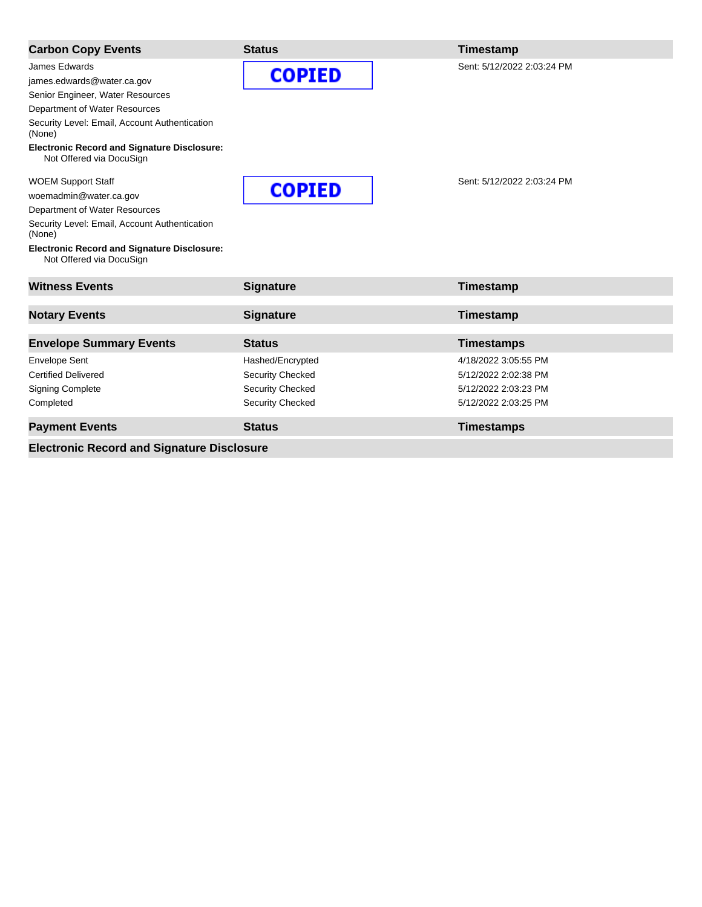| <b>Carbon Copy Events</b>                                                                                                                                                                                                                                     | <b>Status</b>    | Timestamp                  |
|---------------------------------------------------------------------------------------------------------------------------------------------------------------------------------------------------------------------------------------------------------------|------------------|----------------------------|
| James Edwards<br>james.edwards@water.ca.gov<br>Senior Engineer, Water Resources<br>Department of Water Resources<br>Security Level: Email, Account Authentication<br>(None)<br><b>Electronic Record and Signature Disclosure:</b><br>Not Offered via DocuSign | <b>COPIED</b>    | Sent: 5/12/2022 2:03:24 PM |
| <b>WOEM Support Staff</b><br>woemadmin@water.ca.gov<br>Department of Water Resources<br>Security Level: Email, Account Authentication<br>(None)<br><b>Electronic Record and Signature Disclosure:</b><br>Not Offered via DocuSign                             | <b>COPIED</b>    | Sent: 5/12/2022 2:03:24 PM |
| <b>Witness Events</b>                                                                                                                                                                                                                                         | <b>Signature</b> | Timestamp                  |
| <b>Notary Events</b>                                                                                                                                                                                                                                          | <b>Signature</b> | Timestamp                  |
| <b>Envelope Summary Events</b>                                                                                                                                                                                                                                | <b>Status</b>    | <b>Timestamps</b>          |
| <b>Envelope Sent</b>                                                                                                                                                                                                                                          | Hashed/Encrypted | 4/18/2022 3:05:55 PM       |
| <b>Certified Delivered</b>                                                                                                                                                                                                                                    | Security Checked | 5/12/2022 2:02:38 PM       |
| <b>Signing Complete</b>                                                                                                                                                                                                                                       | Security Checked | 5/12/2022 2:03:23 PM       |
| Completed                                                                                                                                                                                                                                                     | Security Checked | 5/12/2022 2:03:25 PM       |
| <b>Payment Events</b>                                                                                                                                                                                                                                         | <b>Status</b>    | <b>Timestamps</b>          |

**Electronic Record and Signature Disclosure**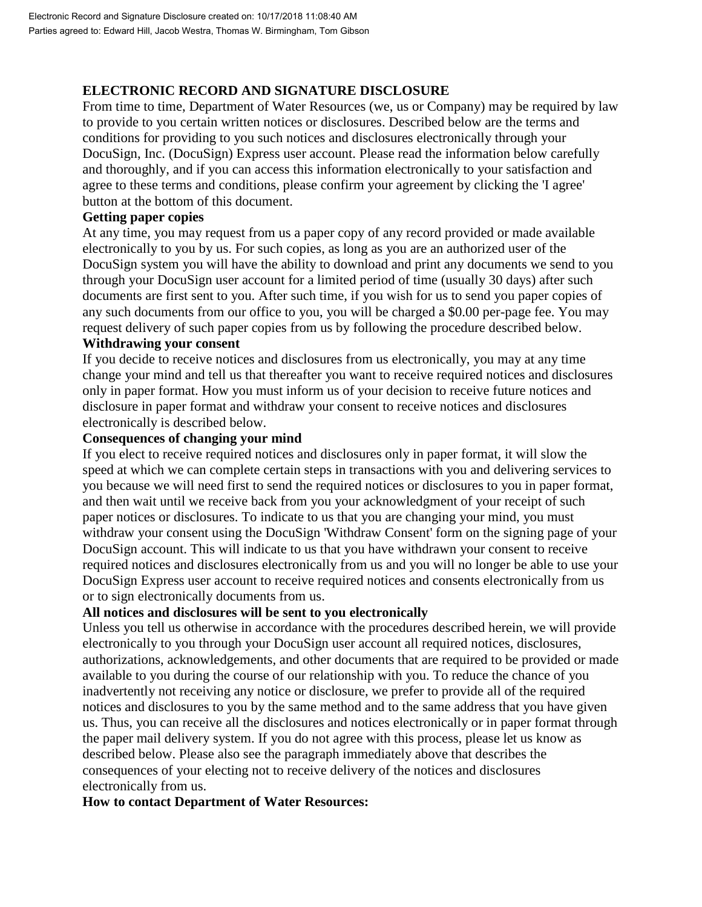## **ELECTRONIC RECORD AND SIGNATURE DISCLOSURE**

From time to time, Department of Water Resources (we, us or Company) may be required by law to provide to you certain written notices or disclosures. Described below are the terms and conditions for providing to you such notices and disclosures electronically through your DocuSign, Inc. (DocuSign) Express user account. Please read the information below carefully and thoroughly, and if you can access this information electronically to your satisfaction and agree to these terms and conditions, please confirm your agreement by clicking the 'I agree' button at the bottom of this document.

#### **Getting paper copies**

At any time, you may request from us a paper copy of any record provided or made available electronically to you by us. For such copies, as long as you are an authorized user of the DocuSign system you will have the ability to download and print any documents we send to you through your DocuSign user account for a limited period of time (usually 30 days) after such documents are first sent to you. After such time, if you wish for us to send you paper copies of any such documents from our office to you, you will be charged a \$0.00 per-page fee. You may request delivery of such paper copies from us by following the procedure described below.

## **Withdrawing your consent**

If you decide to receive notices and disclosures from us electronically, you may at any time change your mind and tell us that thereafter you want to receive required notices and disclosures only in paper format. How you must inform us of your decision to receive future notices and disclosure in paper format and withdraw your consent to receive notices and disclosures electronically is described below.

#### **Consequences of changing your mind**

If you elect to receive required notices and disclosures only in paper format, it will slow the speed at which we can complete certain steps in transactions with you and delivering services to you because we will need first to send the required notices or disclosures to you in paper format, and then wait until we receive back from you your acknowledgment of your receipt of such paper notices or disclosures. To indicate to us that you are changing your mind, you must withdraw your consent using the DocuSign 'Withdraw Consent' form on the signing page of your DocuSign account. This will indicate to us that you have withdrawn your consent to receive required notices and disclosures electronically from us and you will no longer be able to use your DocuSign Express user account to receive required notices and consents electronically from us or to sign electronically documents from us.

#### **All notices and disclosures will be sent to you electronically**

Unless you tell us otherwise in accordance with the procedures described herein, we will provide electronically to you through your DocuSign user account all required notices, disclosures, authorizations, acknowledgements, and other documents that are required to be provided or made available to you during the course of our relationship with you. To reduce the chance of you inadvertently not receiving any notice or disclosure, we prefer to provide all of the required notices and disclosures to you by the same method and to the same address that you have given us. Thus, you can receive all the disclosures and notices electronically or in paper format through the paper mail delivery system. If you do not agree with this process, please let us know as described below. Please also see the paragraph immediately above that describes the consequences of your electing not to receive delivery of the notices and disclosures electronically from us.

#### **How to contact Department of Water Resources:**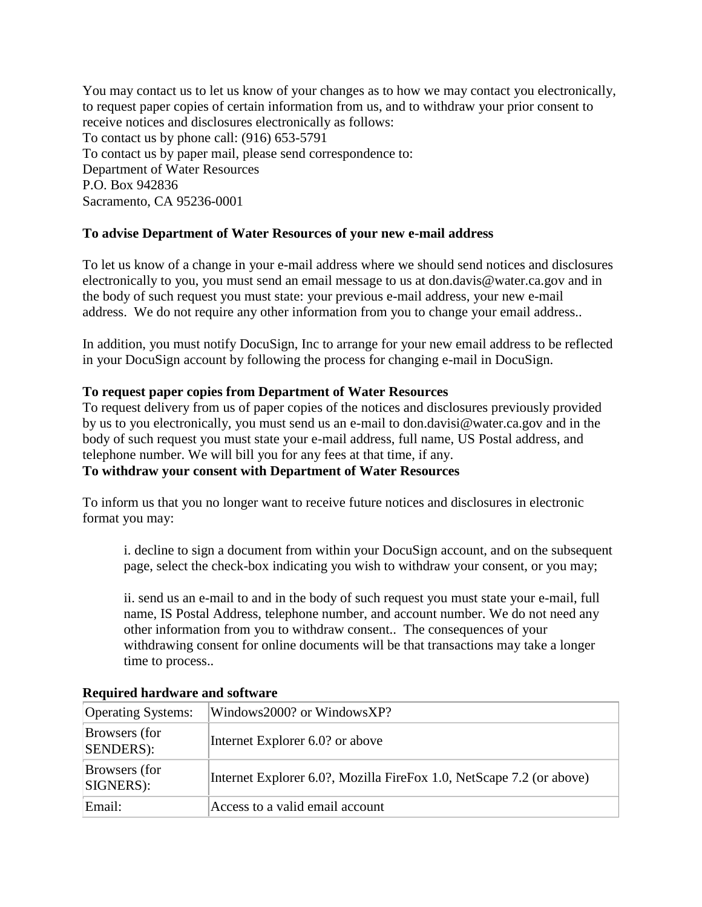You may contact us to let us know of your changes as to how we may contact you electronically, to request paper copies of certain information from us, and to withdraw your prior consent to receive notices and disclosures electronically as follows: To contact us by phone call: (916) 653-5791 To contact us by paper mail, please send correspondence to: Department of Water Resources P.O. Box 942836 Sacramento, CA 95236-0001

#### **To advise Department of Water Resources of your new e-mail address**

To let us know of a change in your e-mail address where we should send notices and disclosures electronically to you, you must send an email message to us at don.davis@water.ca.gov and in the body of such request you must state: your previous e-mail address, your new e-mail address. We do not require any other information from you to change your email address..

In addition, you must notify DocuSign, Inc to arrange for your new email address to be reflected in your DocuSign account by following the process for changing e-mail in DocuSign.

#### **To request paper copies from Department of Water Resources**

To request delivery from us of paper copies of the notices and disclosures previously provided by us to you electronically, you must send us an e-mail to don.davisi@water.ca.gov and in the body of such request you must state your e-mail address, full name, US Postal address, and telephone number. We will bill you for any fees at that time, if any.

## **To withdraw your consent with Department of Water Resources**

To inform us that you no longer want to receive future notices and disclosures in electronic format you may:

i. decline to sign a document from within your DocuSign account, and on the subsequent page, select the check-box indicating you wish to withdraw your consent, or you may;

ii. send us an e-mail to and in the body of such request you must state your e-mail, full name, IS Postal Address, telephone number, and account number. We do not need any other information from you to withdraw consent.. The consequences of your withdrawing consent for online documents will be that transactions may take a longer time to process..

| <b>Operating Systems:</b>  | Windows2000? or WindowsXP?                                           |
|----------------------------|----------------------------------------------------------------------|
| Browsers (for<br>SENDERS): | Internet Explorer 6.0? or above                                      |
| Browsers (for<br>SIGNERS): | Internet Explorer 6.0?, Mozilla FireFox 1.0, NetScape 7.2 (or above) |
| Email:                     | Access to a valid email account                                      |

#### **Required hardware and software**